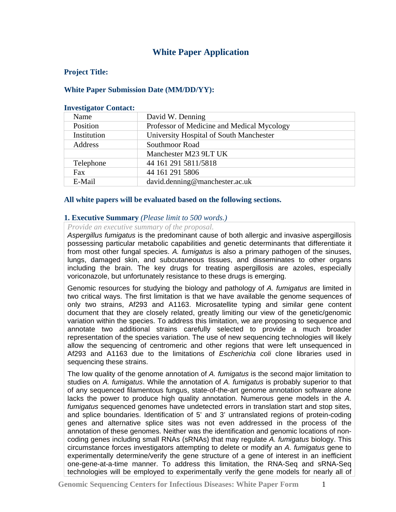# **White Paper Application**

### **Project Title:**

### **White Paper Submission Date (MM/DD/YY):**

#### **Investigator Contact:**

| Name        | David W. Denning                           |  |  |  |
|-------------|--------------------------------------------|--|--|--|
| Position    | Professor of Medicine and Medical Mycology |  |  |  |
| Institution | University Hospital of South Manchester    |  |  |  |
| Address     | Southmoor Road                             |  |  |  |
|             | Manchester M23 9LT UK                      |  |  |  |
| Telephone   | 44 161 291 5811/5818                       |  |  |  |
| Fax         | 44 161 291 5806                            |  |  |  |
| E-Mail      | david.denning@manchester.ac.uk             |  |  |  |

### **All white papers will be evaluated based on the following sections.**

### **1. Executive Summary** *(Please limit to 500 words.)*

#### *Provide an executive summary of the proposal.*

*Aspergillus fumigatus* is the predominant cause of both allergic and invasive aspergillosis possessing particular metabolic capabilities and genetic determinants that differentiate it from most other fungal species. *A. fumigatus* is also a primary pathogen of the sinuses, lungs, damaged skin, and subcutaneous tissues, and disseminates to other organs including the brain. The key drugs for treating aspergillosis are azoles, especially voriconazole, but unfortunately resistance to these drugs is emerging.

Genomic resources for studying the biology and pathology of *A. fumigatus* are limited in two critical ways. The first limitation is that we have available the genome sequences of only two strains, Af293 and A1163. Microsatellite typing and similar gene content document that they are closely related, greatly limiting our view of the genetic/genomic variation within the species. To address this limitation, we are proposing to sequence and annotate two additional strains carefully selected to provide a much broader representation of the species variation. The use of new sequencing technologies will likely allow the sequencing of centromeric and other regions that were left unsequenced in Af293 and A1163 due to the limitations of *Escherichia coli* clone libraries used in sequencing these strains.

The low quality of the genome annotation of *A. fumigatus* is the second major limitation to studies on *A. fumigatus*. While the annotation of *A. fumigatus* is probably superior to that of any sequenced filamentous fungus, state-of-the-art genome annotation software alone lacks the power to produce high quality annotation. Numerous gene models in the *A. fumigatus* sequenced genomes have undetected errors in translation start and stop sites, and splice boundaries. Identification of 5' and 3' untranslated regions of protein-coding genes and alternative splice sites was not even addressed in the process of the annotation of these genomes. Neither was the identification and genomic locations of noncoding genes including small RNAs (sRNAs) that may regulate *A. fumigatus* biology. This circumstance forces investigators attempting to delete or modify an *A. fumigatus* gene to experimentally determine/verify the gene structure of a gene of interest in an inefficient one-gene-at-a-time manner. To address this limitation, the RNA-Seq and sRNA-Seq technologies will be employed to experimentally verify the gene models for nearly all of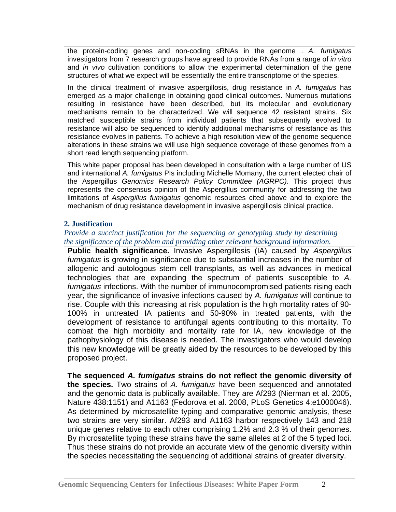the protein-coding genes and non-coding sRNAs in the genome . *A. fumigatus* investigators from 7 research groups have agreed to provide RNAs from a range of *in vitro* and *in vivo* cultivation conditions to allow the experimental determination of the gene structures of what we expect will be essentially the entire transcriptome of the species.

In the clinical treatment of invasive aspergillosis, drug resistance in *A. fumigatus* has emerged as a major challenge in obtaining good clinical outcomes. Numerous mutations resulting in resistance have been described, but its molecular and evolutionary mechanisms remain to be characterized. We will sequence 42 resistant strains. Six matched susceptible strains from individual patients that subsequently evolved to resistance will also be sequenced to identify additional mechanisms of resistance as this resistance evolves in patients. To achieve a high resolution view of the genome sequence alterations in these strains we will use high sequence coverage of these genomes from a short read length sequencing platform.

This white paper proposal has been developed in consultation with a large number of US and international *A. fumigatus* PIs including Michelle Momany, the current elected chair of the Aspergillus *Genomics Research Policy Committee (AGRPC).* This project thus represents the consensus opinion of the Aspergillus community for addressing the two limitations of *Aspergillus fumigatus* genomic resources cited above and to explore the mechanism of drug resistance development in invasive aspergillosis clinical practice.

### **2. Justification**

### *Provide a succinct justification for the sequencing or genotyping study by describing the significance of the problem and providing other relevant background information.*

**Public health significance.** Invasive Aspergillosis (IA) caused by *Aspergillus fumigatus* is growing in significance due to substantial increases in the number of allogenic and autologous stem cell transplants, as well as advances in medical technologies that are expanding the spectrum of patients susceptible to *A. fumigatus* infections. With the number of immunocompromised patients rising each year, the significance of invasive infections caused by *A. fumigatus* will continue to rise. Couple with this increasing at risk population is the high mortality rates of 90- 100% in untreated IA patients and 50-90% in treated patients, with the development of resistance to antifungal agents contributing to this mortality. To combat the high morbidity and mortality rate for IA, new knowledge of the pathophysiology of this disease is needed. The investigators who would develop this new knowledge will be greatly aided by the resources to be developed by this proposed project.

**The sequenced** *A. fumigatus* **strains do not reflect the genomic diversity of the species.** Two strains of *A. fumigatus* have been sequenced and annotated and the genomic data is publically available. They are Af293 (Nierman et al. 2005, Nature 438:1151) and A1163 (Fedorova et al. 2008, PLoS Genetics 4:e1000046). As determined by microsatellite typing and comparative genomic analysis, these two strains are very similar. Af293 and A1163 harbor respectively 143 and 218 unique genes relative to each other comprising 1.2% and 2.3 % of their genomes. By microsatellite typing these strains have the same alleles at 2 of the 5 typed loci. Thus these strains do not provide an accurate view of the genomic diversity within the species necessitating the sequencing of additional strains of greater diversity.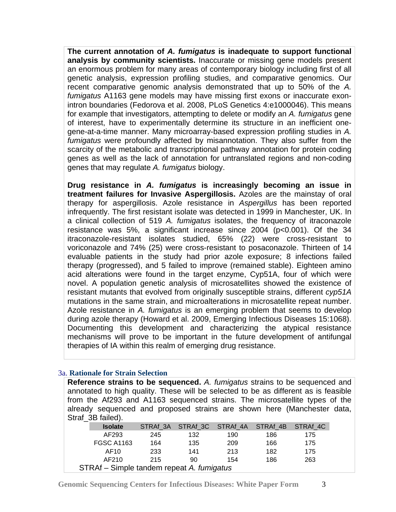**The current annotation of** *A. fumigatus* **is inadequate to support functional analysis by community scientists.** Inaccurate or missing gene models present an enormous problem for many areas of contemporary biology including first of all genetic analysis, expression profiling studies, and comparative genomics. Our recent comparative genomic analysis demonstrated that up to 50% of the *A. fumigatus* A1163 gene models may have missing first exons or inaccurate exonintron boundaries (Fedorova et al. 2008, PLoS Genetics 4:e1000046). This means for example that investigators, attempting to delete or modify an *A. fumigatus* gene of interest, have to experimentally determine its structure in an inefficient onegene-at-a-time manner. Many microarray-based expression profiling studies in *A. fumigatus* were profoundly affected by misannotation. They also suffer from the scarcity of the metabolic and transcriptional pathway annotation for protein coding genes as well as the lack of annotation for untranslated regions and non-coding genes that may regulate *A. fumigatus* biology.

**Drug resistance in** *A. fumigatus* **is increasingly becoming an issue in treatment failures for Invasive Aspergillosis.** Azoles are the mainstay of oral therapy for aspergillosis. Azole resistance in *Aspergillus* has been reported infrequently. The first resistant isolate was detected in 1999 in Manchester, UK. In a clinical collection of 519 *A. fumigatus* isolates, the frequency of itraconazole resistance was 5%, a significant increase since 2004 (p<0.001). Of the 34 itraconazole-resistant isolates studied, 65% (22) were cross-resistant to voriconazole and 74% (25) were cross-resistant to posaconazole. Thirteen of 14 evaluable patients in the study had prior azole exposure; 8 infections failed therapy (progressed), and 5 failed to improve (remained stable). Eighteen amino acid alterations were found in the target enzyme, Cyp51A, four of which were novel. A population genetic analysis of microsatellites showed the existence of resistant mutants that evolved from originally susceptible strains, different *cyp51A*  mutations in the same strain, and microalterations in microsatellite repeat number. Azole resistance in *A. fumigatus* is an emerging problem that seems to develop during azole therapy (Howard et al. 2009, Emerging Infectious Diseases 15:1068). Documenting this development and characterizing the atypical resistance mechanisms will prove to be important in the future development of antifungal therapies of IA within this realm of emerging drug resistance.

### 3a. **Rationale for Strain Selection**

**Reference strains to be sequenced.** *A. fumigatus* strains to be sequenced and annotated to high quality. These will be selected to be as different as is feasible from the Af293 and A1163 sequenced strains. The microsatellite types of the already sequenced and proposed strains are shown here (Manchester data, Straf<sub>3B</sub> failed).

| <b>Isolate</b>                            |     |     | STRAf 3A STRAf 3C STRAf 4A STRAf 4B STRAf 4C |     |     |  |  |
|-------------------------------------------|-----|-----|----------------------------------------------|-----|-----|--|--|
| AF293                                     | 245 | 132 | 190                                          | 186 | 175 |  |  |
| <b>FGSC A1163</b>                         | 164 | 135 | 209                                          | 166 | 175 |  |  |
| AF <sub>10</sub>                          | 233 | 141 | 213                                          | 182 | 175 |  |  |
| AF210                                     | 215 | 90  | 154                                          | 186 | 263 |  |  |
| STRAf - Simple tandem repeat A. fumigatus |     |     |                                              |     |     |  |  |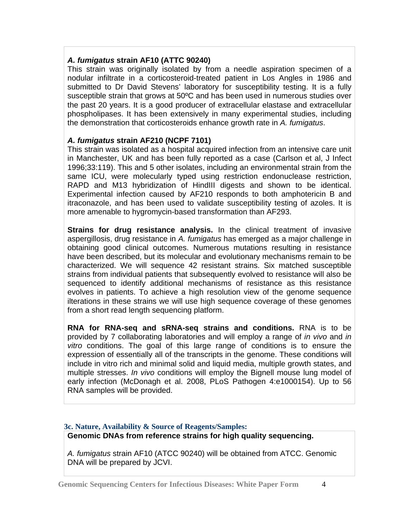### *A. fumigatus* **strain AF10 (ATTC 90240)**

This strain was originally isolated by from a needle aspiration specimen of a nodular infiltrate in a corticosteroid-treated patient in Los Angles in 1986 and submitted to Dr David Stevens' laboratory for susceptibility testing. It is a fully susceptible strain that grows at 50ºC and has been used in numerous studies over the past 20 years. It is a good producer of extracellular elastase and extracellular phospholipases. It has been extensively in many experimental studies, including the demonstration that corticosteroids enhance growth rate in *A. fumigatus*.

### *A. fumigatus* **strain AF210 (NCPF 7101)**

This strain was isolated as a hospital acquired infection from an intensive care unit in Manchester, UK and has been fully reported as a case (Carlson et al, J Infect 1996;33:119). This and 5 other isolates, including an environmental strain from the same ICU, were molecularly typed using restriction endonuclease restriction, RAPD and M13 hybridization of HindIII digests and shown to be identical. Experimental infection caused by AF210 responds to both amphotericin B and itraconazole, and has been used to validate susceptibility testing of azoles. It is more amenable to hygromycin-based transformation than AF293.

**Strains for drug resistance analysis.** In the clinical treatment of invasive aspergillosis, drug resistance in *A. fumigatus* has emerged as a major challenge in obtaining good clinical outcomes. Numerous mutations resulting in resistance have been described, but its molecular and evolutionary mechanisms remain to be characterized. We will sequence 42 resistant strains. Six matched susceptible strains from individual patients that subsequently evolved to resistance will also be sequenced to identify additional mechanisms of resistance as this resistance evolves in patients. To achieve a high resolution view of the genome sequence ilterations in these strains we will use high sequence coverage of these genomes from a short read length sequencing platform.

**RNA for RNA-seq and sRNA-seq strains and conditions.** RNA is to be provided by 7 collaborating laboratories and will employ a range of *in vivo* and *in vitro* conditions. The goal of this large range of conditions is to ensure the expression of essentially all of the transcripts in the genome. These conditions will include in vitro rich and minimal solid and liquid media, multiple growth states, and multiple stresses. *In vivo* conditions will employ the Bignell mouse lung model of early infection (McDonagh et al. 2008, PLoS Pathogen 4:e1000154). Up to 56 RNA samples will be provided.

### **3c. Nature, Availability & Source of Reagents/Samples:**

**Genomic DNAs from reference strains for high quality sequencing.** 

*A. fumigatus* strain AF10 (ATCC 90240) will be obtained from ATCC. Genomic DNA will be prepared by JCVI.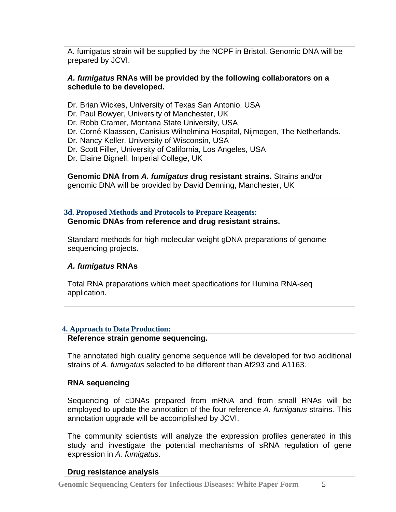A. fumigatus strain will be supplied by the NCPF in Bristol. Genomic DNA will be prepared by JCVI.

### *A. fumigatus* **RNAs will be provided by the following collaborators on a schedule to be developed.**

- Dr. Brian Wickes, University of Texas San Antonio, USA
- Dr. Paul Bowyer, University of Manchester, UK
- Dr. Robb Cramer, Montana State University, USA
- Dr. Corné Klaassen, Canisius Wilhelmina Hospital, Nijmegen, The Netherlands.
- Dr. Nancy Keller, University of Wisconsin, USA
- Dr. Scott Filler, University of California, Los Angeles, USA
- Dr. Elaine Bignell, Imperial College, UK

**Genomic DNA from** *A. fumigatus* **drug resistant strains.** Strains and/or genomic DNA will be provided by David Denning, Manchester, UK

# **3d. Proposed Methods and Protocols to Prepare Reagents:**

### **Genomic DNAs from reference and drug resistant strains.**

Standard methods for high molecular weight gDNA preparations of genome sequencing projects.

# *A. fumigatus* **RNAs**

Total RNA preparations which meet specifications for Illumina RNA-seq application.

# **4. Approach to Data Production:**

### **Reference strain genome sequencing.**

The annotated high quality genome sequence will be developed for two additional strains of *A. fumigatus* selected to be different than Af293 and A1163.

# **RNA sequencing**

Sequencing of cDNAs prepared from mRNA and from small RNAs will be employed to update the annotation of the four reference *A. fumigatus* strains. This annotation upgrade will be accomplished by JCVI.

The community scientists will analyze the expression profiles generated in this study and investigate the potential mechanisms of sRNA regulation of gene expression in *A. fumigatus*.

# **Drug resistance analysis**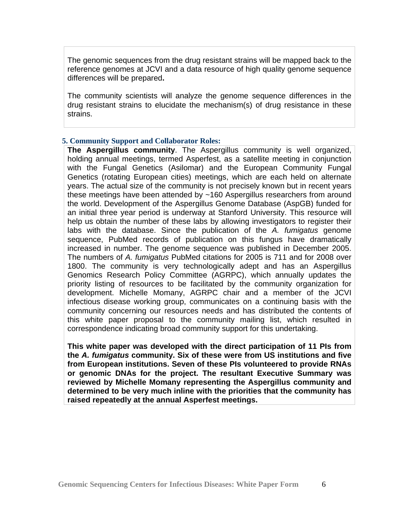The genomic sequences from the drug resistant strains will be mapped back to the reference genomes at JCVI and a data resource of high quality genome sequence differences will be prepared**.** 

The community scientists will analyze the genome sequence differences in the drug resistant strains to elucidate the mechanism(s) of drug resistance in these strains.

### **5. Community Support and Collaborator Roles:**

**The Aspergillus community**. The Aspergillus community is well organized, holding annual meetings, termed Asperfest, as a satellite meeting in conjunction with the Fungal Genetics (Asilomar) and the European Community Fungal Genetics (rotating European cities) meetings, which are each held on alternate years. The actual size of the community is not precisely known but in recent years these meetings have been attended by ~160 Aspergillus researchers from around the world. Development of the Aspergillus Genome Database (AspGB) funded for an initial three year period is underway at Stanford University. This resource will help us obtain the number of these labs by allowing investigators to register their labs with the database. Since the publication of the *A. fumigatus* genome sequence, PubMed records of publication on this fungus have dramatically increased in number. The genome sequence was published in December 2005. The numbers of *A. fumigatus* PubMed citations for 2005 is 711 and for 2008 over 1800. The community is very technologically adept and has an Aspergillus Genomics Research Policy Committee (AGRPC), which annually updates the priority listing of resources to be facilitated by the community organization for development. Michelle Momany, AGRPC chair and a member of the JCVI infectious disease working group, communicates on a continuing basis with the community concerning our resources needs and has distributed the contents of this white paper proposal to the community mailing list, which resulted in correspondence indicating broad community support for this undertaking.

**This white paper was developed with the direct participation of 11 PIs from the** *A. fumigatus* **community. Six of these were from US institutions and five from European institutions. Seven of these PIs volunteered to provide RNAs or genomic DNAs for the project. The resultant Executive Summary was reviewed by Michelle Momany representing the Aspergillus community and determined to be very much inline with the priorities that the community has raised repeatedly at the annual Asperfest meetings.**